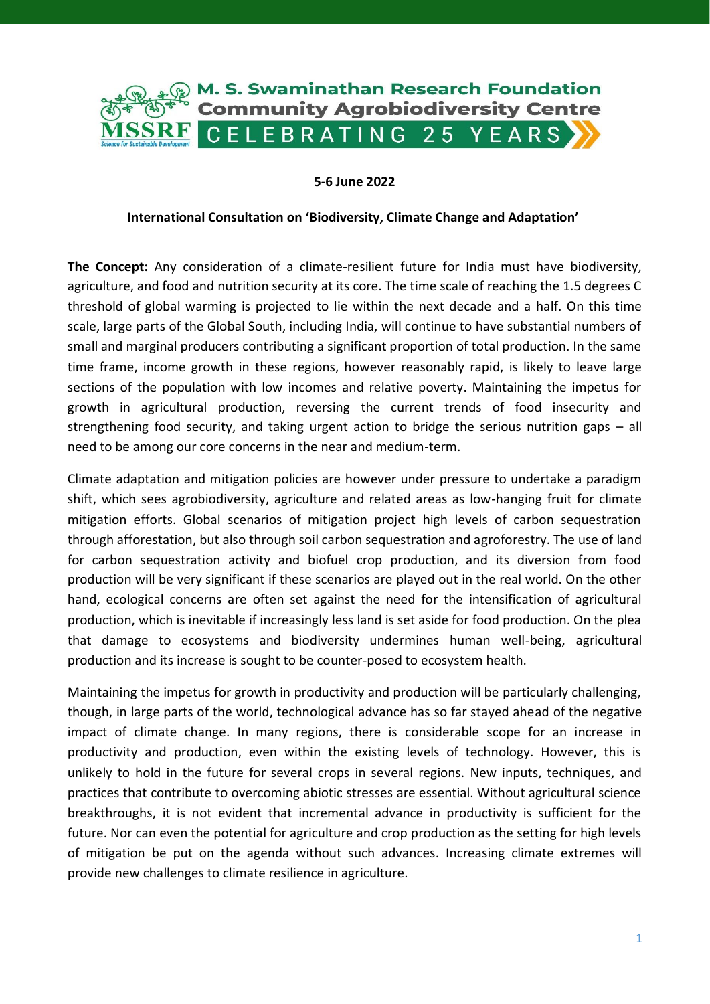

### **5-6 June 2022**

#### **International Consultation on 'Biodiversity, Climate Change and Adaptation'**

**The Concept:** Any consideration of a climate-resilient future for India must have biodiversity, agriculture, and food and nutrition security at its core. The time scale of reaching the 1.5 degrees C threshold of global warming is projected to lie within the next decade and a half. On this time scale, large parts of the Global South, including India, will continue to have substantial numbers of small and marginal producers contributing a significant proportion of total production. In the same time frame, income growth in these regions, however reasonably rapid, is likely to leave large sections of the population with low incomes and relative poverty. Maintaining the impetus for growth in agricultural production, reversing the current trends of food insecurity and strengthening food security, and taking urgent action to bridge the serious nutrition gaps – all need to be among our core concerns in the near and medium-term.

Climate adaptation and mitigation policies are however under pressure to undertake a paradigm shift, which sees agrobiodiversity, agriculture and related areas as low-hanging fruit for climate mitigation efforts. Global scenarios of mitigation project high levels of carbon sequestration through afforestation, but also through soil carbon sequestration and agroforestry. The use of land for carbon sequestration activity and biofuel crop production, and its diversion from food production will be very significant if these scenarios are played out in the real world. On the other hand, ecological concerns are often set against the need for the intensification of agricultural production, which is inevitable if increasingly less land is set aside for food production. On the plea that damage to ecosystems and biodiversity undermines human well-being, agricultural production and its increase is sought to be counter-posed to ecosystem health.

Maintaining the impetus for growth in productivity and production will be particularly challenging, though, in large parts of the world, technological advance has so far stayed ahead of the negative impact of climate change. In many regions, there is considerable scope for an increase in productivity and production, even within the existing levels of technology. However, this is unlikely to hold in the future for several crops in several regions. New inputs, techniques, and practices that contribute to overcoming abiotic stresses are essential. Without agricultural science breakthroughs, it is not evident that incremental advance in productivity is sufficient for the future. Nor can even the potential for agriculture and crop production as the setting for high levels of mitigation be put on the agenda without such advances. Increasing climate extremes will provide new challenges to climate resilience in agriculture.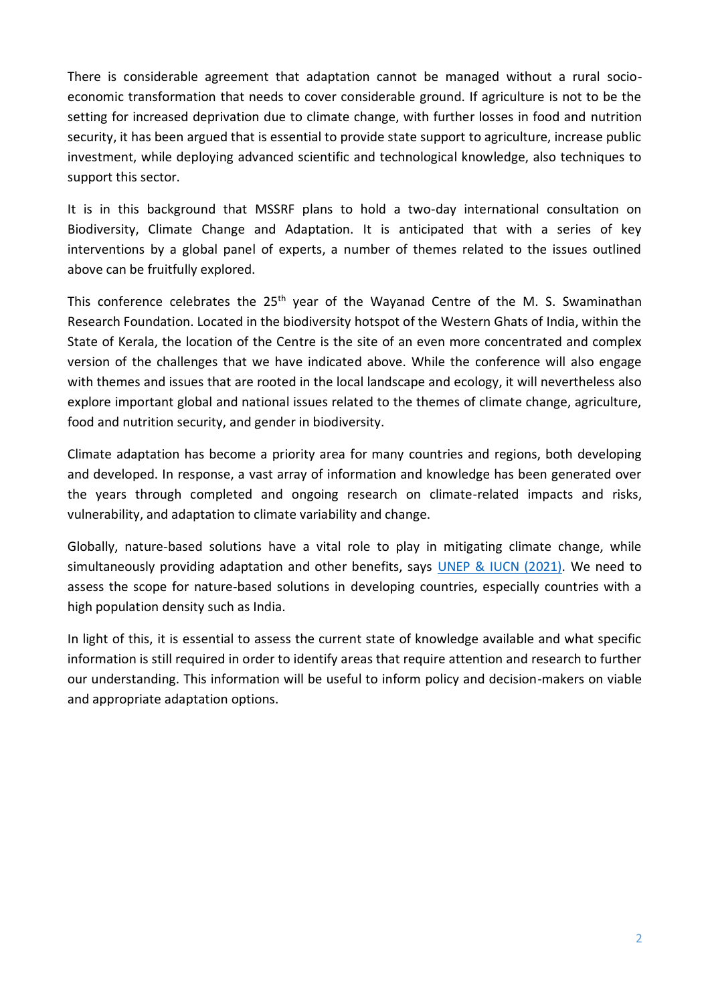There is considerable agreement that adaptation cannot be managed without a rural socioeconomic transformation that needs to cover considerable ground. If agriculture is not to be the setting for increased deprivation due to climate change, with further losses in food and nutrition security, it has been argued that is essential to provide state support to agriculture, increase public investment, while deploying advanced scientific and technological knowledge, also techniques to support this sector.

It is in this background that MSSRF plans to hold a two-day international consultation on Biodiversity, Climate Change and Adaptation. It is anticipated that with a series of key interventions by a global panel of experts, a number of themes related to the issues outlined above can be fruitfully explored.

This conference celebrates the  $25<sup>th</sup>$  year of the Wayanad Centre of the M. S. Swaminathan Research Foundation. Located in the biodiversity hotspot of the Western Ghats of India, within the State of Kerala, the location of the Centre is the site of an even more concentrated and complex version of the challenges that we have indicated above. While the conference will also engage with themes and issues that are rooted in the local landscape and ecology, it will nevertheless also explore important global and national issues related to the themes of climate change, agriculture, food and nutrition security, and gender in biodiversity.

Climate adaptation has become a priority area for many countries and regions, both developing and developed. In response, a vast array of information and knowledge has been generated over the years through completed and ongoing research on climate-related impacts and risks, vulnerability, and adaptation to climate variability and change.

Globally, nature-based solutions have a vital role to play in mitigating climate change, while simultaneously providing adaptation and other benefits, says [UNEP & IUCN \(2021\).](https://wedocs.unep.org/xmlui/bitstream/handle/20.500.11822/37318/NBSCCM.pdf) We need to assess the scope for nature-based solutions in developing countries, especially countries with a high population density such as India.

In light of this, it is essential to assess the current state of knowledge available and what specific information is still required in order to identify areas that require attention and research to further our understanding. This information will be useful to inform policy and decision-makers on viable and appropriate adaptation options.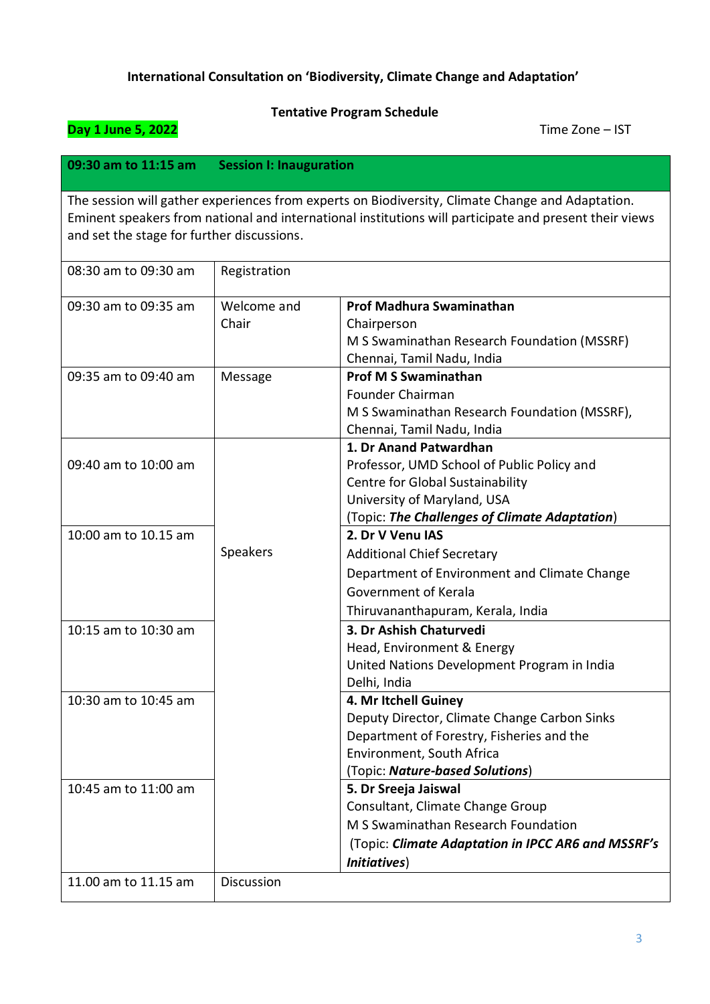## **International Consultation on 'Biodiversity, Climate Change and Adaptation'**

# **Tentative Program Schedule Day 1 June 5, 2022 Time Zone – IST 09:30 am to 11:15 am Session I: Inauguration**  The session will gather experiences from experts on Biodiversity, Climate Change and Adaptation. Eminent speakers from national and international institutions will participate and present their views and set the stage for further discussions. 08:30 am to 09:30 am  $\vert$  Registration 09:30 am to 09:35 am | Welcome and Chair **Prof Madhura Swaminathan Chairperson** M S Swaminathan Research Foundation (MSSRF) Chennai, Tamil Nadu, India 09:35 am to 09:40 am Message **Prof M S Swaminathan** Founder Chairman M S Swaminathan Research Foundation (MSSRF), Chennai, Tamil Nadu, India 09:40 am to 10:00 am Speakers **1. Dr Anand Patwardhan** Professor, UMD School of Public Policy and Centre for Global Sustainability University of Maryland, USA (Topic: *The Challenges of Climate Adaptation*) 10:00 am to 10.15 am **2. Dr V Venu IAS** Additional Chief Secretary Department of Environment and Climate Change Government of Kerala Thiruvananthapuram, Kerala, India 10:15 am to 10:30 am **3. Dr Ashish Chaturvedi** Head, Environment & Energy United Nations Development Program in India Delhi, India 10:30 am to 10:45 am **4. Mr Itchell Guiney** Deputy Director, Climate Change Carbon Sinks Department of Forestry, Fisheries and the Environment, South Africa (Topic: *Nature-based Solutions*) 10:45 am to 11:00 am **5. Dr Sreeja Jaiswal**  Consultant, Climate Change Group M S Swaminathan Research Foundation (Topic: *Climate Adaptation in IPCC AR6 and MSSRF's Initiatives*) 11.00 am to 11.15 am  $\parallel$  Discussion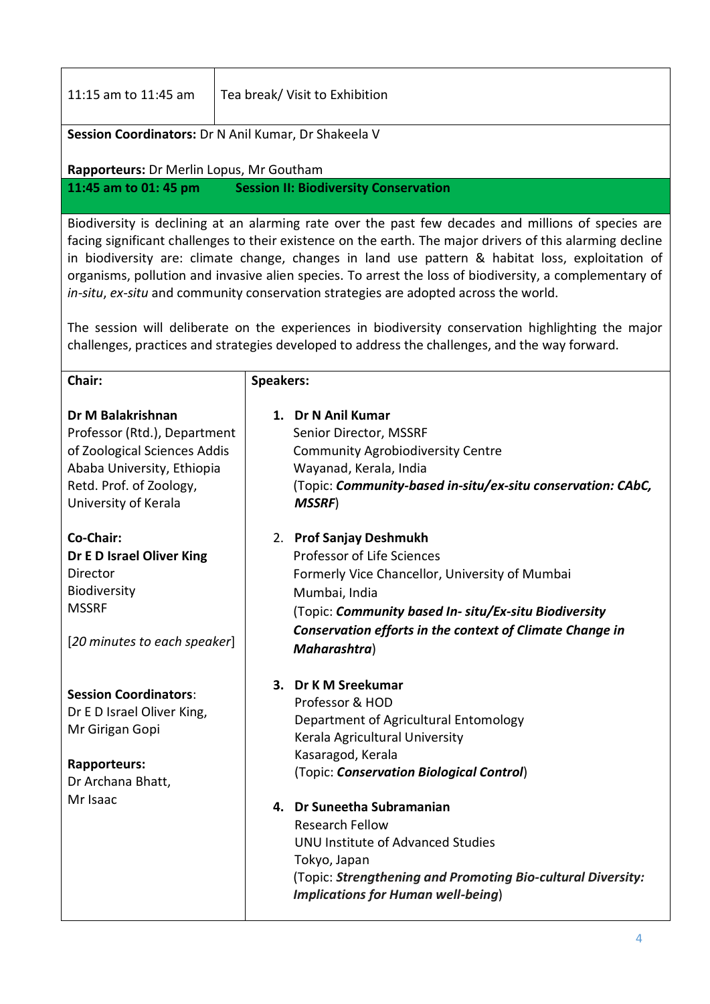| 11:15 am to 11:45 am                                                                                                                                               | Tea break/ Visit to Exhibition                                                                                                                                                                                                                                                                                                                                                                                                                                                                                                                                                                                           |  |
|--------------------------------------------------------------------------------------------------------------------------------------------------------------------|--------------------------------------------------------------------------------------------------------------------------------------------------------------------------------------------------------------------------------------------------------------------------------------------------------------------------------------------------------------------------------------------------------------------------------------------------------------------------------------------------------------------------------------------------------------------------------------------------------------------------|--|
| Session Coordinators: Dr N Anil Kumar, Dr Shakeela V                                                                                                               |                                                                                                                                                                                                                                                                                                                                                                                                                                                                                                                                                                                                                          |  |
| Rapporteurs: Dr Merlin Lopus, Mr Goutham                                                                                                                           |                                                                                                                                                                                                                                                                                                                                                                                                                                                                                                                                                                                                                          |  |
| 11:45 am to 01: 45 pm                                                                                                                                              | <b>Session II: Biodiversity Conservation</b>                                                                                                                                                                                                                                                                                                                                                                                                                                                                                                                                                                             |  |
|                                                                                                                                                                    | Biodiversity is declining at an alarming rate over the past few decades and millions of species are                                                                                                                                                                                                                                                                                                                                                                                                                                                                                                                      |  |
|                                                                                                                                                                    | facing significant challenges to their existence on the earth. The major drivers of this alarming decline<br>in biodiversity are: climate change, changes in land use pattern & habitat loss, exploitation of<br>organisms, pollution and invasive alien species. To arrest the loss of biodiversity, a complementary of<br>in-situ, ex-situ and community conservation strategies are adopted across the world.<br>The session will deliberate on the experiences in biodiversity conservation highlighting the major<br>challenges, practices and strategies developed to address the challenges, and the way forward. |  |
|                                                                                                                                                                    |                                                                                                                                                                                                                                                                                                                                                                                                                                                                                                                                                                                                                          |  |
| Chair:                                                                                                                                                             | <b>Speakers:</b>                                                                                                                                                                                                                                                                                                                                                                                                                                                                                                                                                                                                         |  |
| Dr M Balakrishnan<br>Professor (Rtd.), Department<br>of Zoological Sciences Addis<br>Ababa University, Ethiopia<br>Retd. Prof. of Zoology,<br>University of Kerala | 1. Dr N Anil Kumar<br>Senior Director, MSSRF<br><b>Community Agrobiodiversity Centre</b><br>Wayanad, Kerala, India<br>(Topic: Community-based in-situ/ex-situ conservation: CAbC,<br><b>MSSRF)</b>                                                                                                                                                                                                                                                                                                                                                                                                                       |  |

**3. Dr K M Sreekumar** Professor & HOD

# **Session Coordinators**:

Dr E D Israel Oliver King, Mr Girigan Gopi

# **Rapporteurs:**  Dr Archana Bhatt,

Mr Isaac

Kerala Agricultural University Kasaragod, Kerala (Topic: *Conservation Biological Control*) **4. Dr Suneetha Subramanian**

[Department of Agricultural Entomology](https://kau.in/institution/department-agricultural-entomology)

Research Fellow UNU Institute of Advanced Studies Tokyo, Japan (Topic: *Strengthening and Promoting Bio-cultural Diversity: Implications for Human well-being*)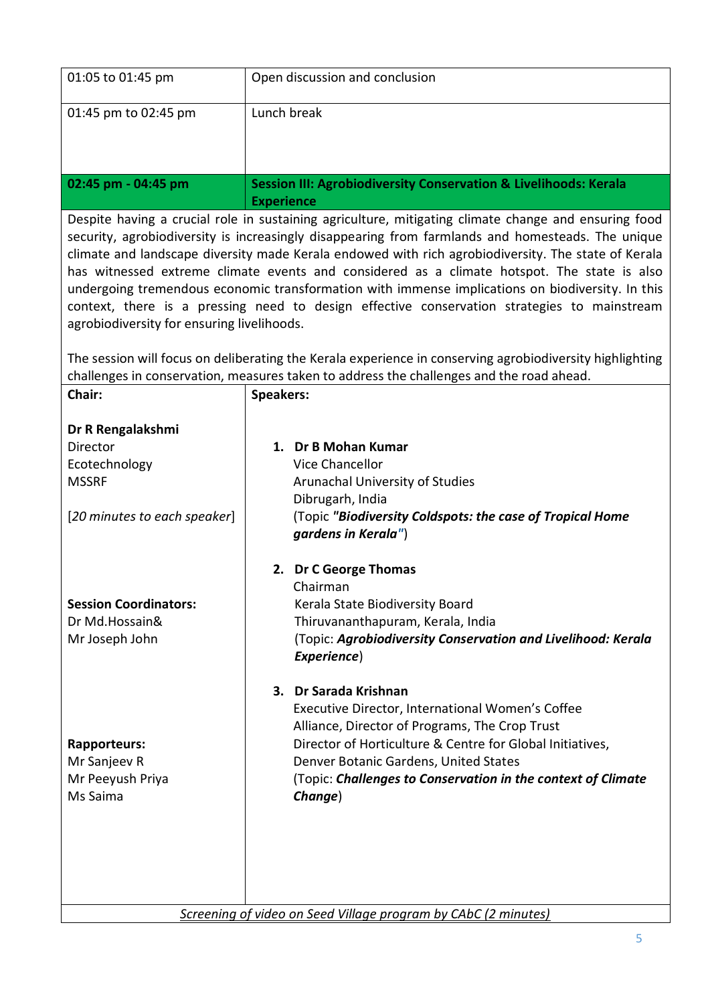| 01:05 to 01:45 pm    | Open discussion and conclusion                                                                   |
|----------------------|--------------------------------------------------------------------------------------------------|
| 01:45 pm to 02:45 pm | Lunch break                                                                                      |
| 02:45 pm - 04:45 pm  | <b>Session III: Agrobiodiversity Conservation &amp; Livelihoods: Kerala</b><br><b>Experience</b> |

Despite having a crucial role in sustaining agriculture, mitigating climate change and ensuring food security, agrobiodiversity is increasingly disappearing from farmlands and homesteads. The unique climate and landscape diversity made Kerala endowed with rich agrobiodiversity. The state of Kerala has witnessed extreme climate events and considered as a climate hotspot. The state is also undergoing tremendous economic transformation with immense implications on biodiversity. In this context, there is a pressing need to design effective conservation strategies to mainstream agrobiodiversity for ensuring livelihoods.

The session will focus on deliberating the Kerala experience in conserving agrobiodiversity highlighting challenges in conservation, measures taken to address the challenges and the road ahead.

| Chair:                                                                                                | <b>Speakers:</b>                                                                                                                                                                                                                                                                                             |
|-------------------------------------------------------------------------------------------------------|--------------------------------------------------------------------------------------------------------------------------------------------------------------------------------------------------------------------------------------------------------------------------------------------------------------|
| Dr R Rengalakshmi<br><b>Director</b><br>Ecotechnology<br><b>MSSRF</b><br>[20 minutes to each speaker] | 1. Dr B Mohan Kumar<br><b>Vice Chancellor</b><br>Arunachal University of Studies<br>Dibrugarh, India<br>(Topic "Biodiversity Coldspots: the case of Tropical Home<br>gardens in Kerala")                                                                                                                     |
| <b>Session Coordinators:</b><br>Dr Md.Hossain&<br>Mr Joseph John                                      | 2. Dr C George Thomas<br>Chairman<br>Kerala State Biodiversity Board<br>Thiruvananthapuram, Kerala, India<br>(Topic: Agrobiodiversity Conservation and Livelihood: Kerala<br>Experience)                                                                                                                     |
| <b>Rapporteurs:</b><br>Mr Sanjeev R<br>Mr Peeyush Priya<br>Ms Saima                                   | 3. Dr Sarada Krishnan<br>Executive Director, International Women's Coffee<br>Alliance, Director of Programs, The Crop Trust<br>Director of Horticulture & Centre for Global Initiatives,<br>Denver Botanic Gardens, United States<br>(Topic: Challenges to Conservation in the context of Climate<br>Change) |
|                                                                                                       | Screening of video on Seed Village program by CAbC (2 minutes)                                                                                                                                                                                                                                               |

*Screening of video on Seed Village program by CAbC (2 minutes)*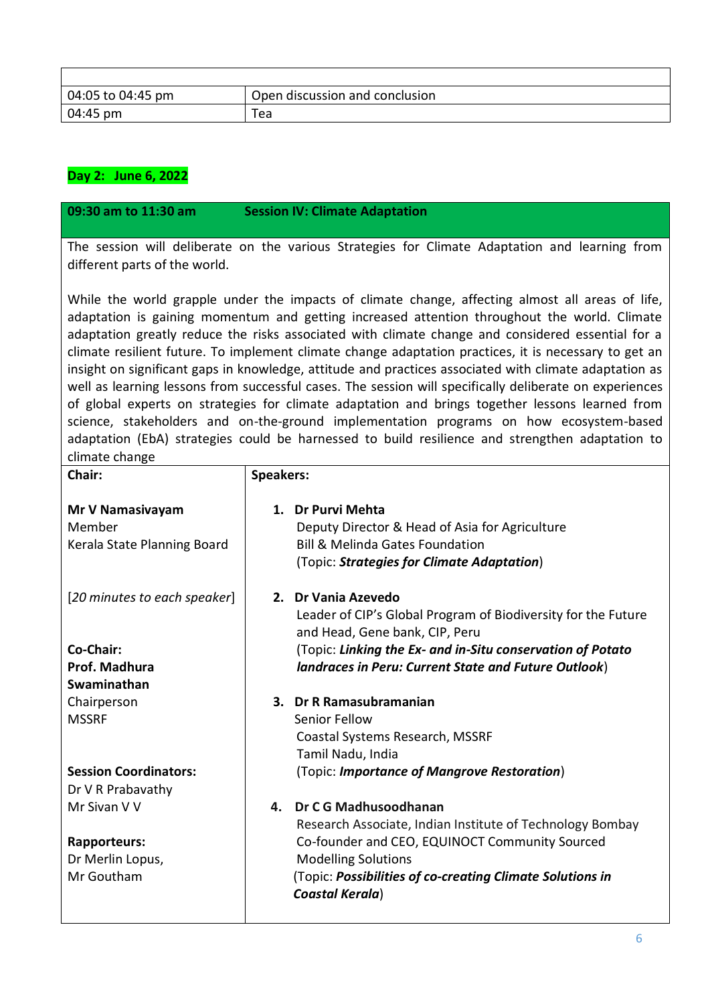| 04:05 to 04:45 pm | Open discussion and conclusion |
|-------------------|--------------------------------|
| 04:45 pm          | Tea                            |

# **Day 2: June 6, 2022**

## **09:30 am to 11:30 am Session IV: Climate Adaptation**

The session will deliberate on the various Strategies for Climate Adaptation and learning from different parts of the world.

While the world grapple under the impacts of climate change, affecting almost all areas of life, adaptation is gaining momentum and getting increased attention throughout the world. Climate adaptation greatly reduce the risks associated with climate change and considered essential for a climate resilient future. To implement climate change adaptation practices, it is necessary to get an insight on significant gaps in knowledge, attitude and practices associated with climate adaptation as well as learning lessons from successful cases. The session will specifically deliberate on experiences of global experts on strategies for climate adaptation and brings together lessons learned from science, stakeholders and on-the-ground implementation programs on how ecosystem-based adaptation (EbA) strategies could be harnessed to build resilience and strengthen adaptation to climate change

| Chair:                                                    | <b>Speakers:</b>                                                                                                                                                |
|-----------------------------------------------------------|-----------------------------------------------------------------------------------------------------------------------------------------------------------------|
| Mr V Namasivayam<br>Member<br>Kerala State Planning Board | 1. Dr Purvi Mehta<br>Deputy Director & Head of Asia for Agriculture<br><b>Bill &amp; Melinda Gates Foundation</b><br>(Topic: Strategies for Climate Adaptation) |
| [20 minutes to each speaker]                              | 2. Dr Vania Azevedo<br>Leader of CIP's Global Program of Biodiversity for the Future<br>and Head, Gene bank, CIP, Peru                                          |
| Co-Chair:                                                 | (Topic: Linking the Ex- and in-Situ conservation of Potato                                                                                                      |
| Prof. Madhura                                             | landraces in Peru: Current State and Future Outlook)                                                                                                            |
| Swaminathan                                               |                                                                                                                                                                 |
| Chairperson                                               | 3. Dr R Ramasubramanian                                                                                                                                         |
| <b>MSSRF</b>                                              | Senior Fellow                                                                                                                                                   |
|                                                           | Coastal Systems Research, MSSRF                                                                                                                                 |
|                                                           | Tamil Nadu, India                                                                                                                                               |
| <b>Session Coordinators:</b><br>Dr V R Prabavathy         | (Topic: Importance of Mangrove Restoration)                                                                                                                     |
| Mr Sivan V V                                              | Dr C G Madhusoodhanan<br>4.                                                                                                                                     |
|                                                           | Research Associate, Indian Institute of Technology Bombay                                                                                                       |
| Rapporteurs:                                              | Co-founder and CEO, EQUINOCT Community Sourced                                                                                                                  |
| Dr Merlin Lopus,                                          | <b>Modelling Solutions</b>                                                                                                                                      |
| Mr Goutham                                                | (Topic: Possibilities of co-creating Climate Solutions in<br><b>Coastal Kerala)</b>                                                                             |
|                                                           |                                                                                                                                                                 |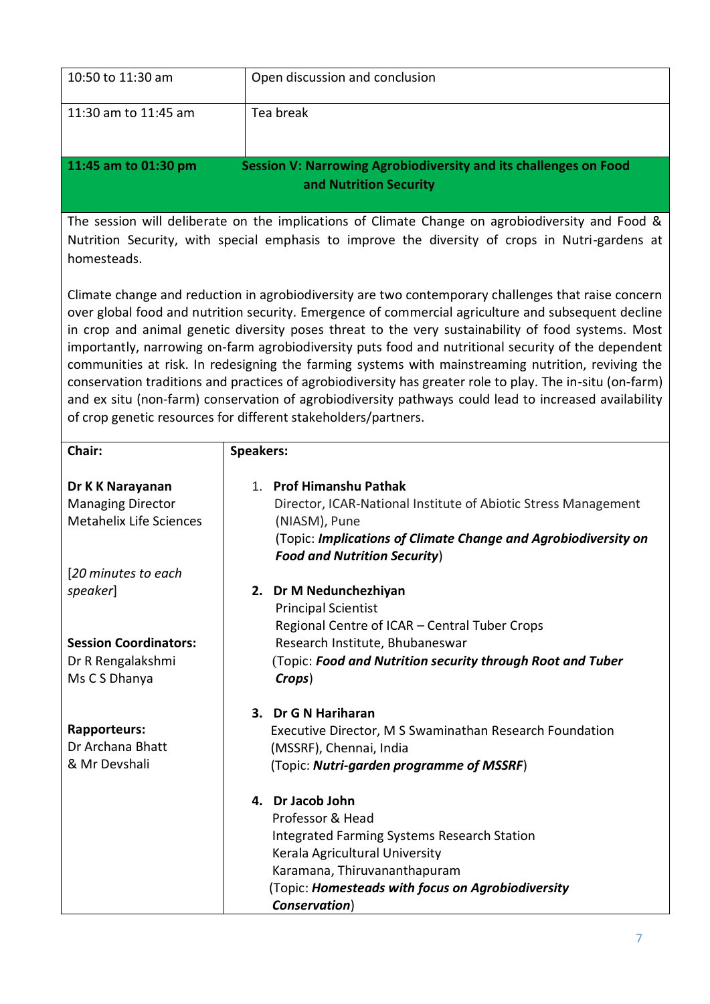| 10:50 to 11:30 am                                                                                                                                                                                                                                                                                                                                                                                                                                                                                                                                                                                                                                                                                                                                                                                                     | Open discussion and conclusion                                                                                                                                                                                                                |  |
|-----------------------------------------------------------------------------------------------------------------------------------------------------------------------------------------------------------------------------------------------------------------------------------------------------------------------------------------------------------------------------------------------------------------------------------------------------------------------------------------------------------------------------------------------------------------------------------------------------------------------------------------------------------------------------------------------------------------------------------------------------------------------------------------------------------------------|-----------------------------------------------------------------------------------------------------------------------------------------------------------------------------------------------------------------------------------------------|--|
| 11:30 am to 11:45 am                                                                                                                                                                                                                                                                                                                                                                                                                                                                                                                                                                                                                                                                                                                                                                                                  | Tea break                                                                                                                                                                                                                                     |  |
| 11:45 am to 01:30 pm                                                                                                                                                                                                                                                                                                                                                                                                                                                                                                                                                                                                                                                                                                                                                                                                  | Session V: Narrowing Agrobiodiversity and its challenges on Food<br>and Nutrition Security                                                                                                                                                    |  |
| The session will deliberate on the implications of Climate Change on agrobiodiversity and Food &<br>Nutrition Security, with special emphasis to improve the diversity of crops in Nutri-gardens at<br>homesteads.                                                                                                                                                                                                                                                                                                                                                                                                                                                                                                                                                                                                    |                                                                                                                                                                                                                                               |  |
| Climate change and reduction in agrobiodiversity are two contemporary challenges that raise concern<br>over global food and nutrition security. Emergence of commercial agriculture and subsequent decline<br>in crop and animal genetic diversity poses threat to the very sustainability of food systems. Most<br>importantly, narrowing on-farm agrobiodiversity puts food and nutritional security of the dependent<br>communities at risk. In redesigning the farming systems with mainstreaming nutrition, reviving the<br>conservation traditions and practices of agrobiodiversity has greater role to play. The in-situ (on-farm)<br>and ex situ (non-farm) conservation of agrobiodiversity pathways could lead to increased availability<br>of crop genetic resources for different stakeholders/partners. |                                                                                                                                                                                                                                               |  |
| Chair:                                                                                                                                                                                                                                                                                                                                                                                                                                                                                                                                                                                                                                                                                                                                                                                                                | <b>Speakers:</b>                                                                                                                                                                                                                              |  |
| Dr K K Narayanan<br><b>Managing Director</b><br><b>Metahelix Life Sciences</b><br>[20 minutes to each<br>speaker]                                                                                                                                                                                                                                                                                                                                                                                                                                                                                                                                                                                                                                                                                                     | 1. Prof Himanshu Pathak<br>Director, ICAR-National Institute of Abiotic Stress Management<br>(NIASM), Pune<br>(Topic: Implications of Climate Change and Agrobiodiversity on<br><b>Food and Nutrition Security)</b><br>2. Dr M Nedunchezhiyan |  |
| <b>Session Coordinators:</b><br>Dr R Rengalakshmi<br>Ms C S Dhanya                                                                                                                                                                                                                                                                                                                                                                                                                                                                                                                                                                                                                                                                                                                                                    | <b>Principal Scientist</b><br>Regional Centre of ICAR - Central Tuber Crops<br>Research Institute, Bhubaneswar<br>(Topic: Food and Nutrition security through Root and Tuber<br>Crops)                                                        |  |
| <b>Rapporteurs:</b><br>Dr Archana Bhatt<br>& Mr Devshali                                                                                                                                                                                                                                                                                                                                                                                                                                                                                                                                                                                                                                                                                                                                                              | 3. Dr G N Hariharan<br>Executive Director, M S Swaminathan Research Foundation<br>(MSSRF), Chennai, India<br>(Topic: Nutri-garden programme of MSSRF)                                                                                         |  |
|                                                                                                                                                                                                                                                                                                                                                                                                                                                                                                                                                                                                                                                                                                                                                                                                                       | 4. Dr Jacob John<br>Professor & Head<br>Integrated Farming Systems Research Station<br>Kerala Agricultural University<br>Karamana, Thiruvananthapuram<br>(Topic: Homesteads with focus on Agrobiodiversity<br>Conservation)                   |  |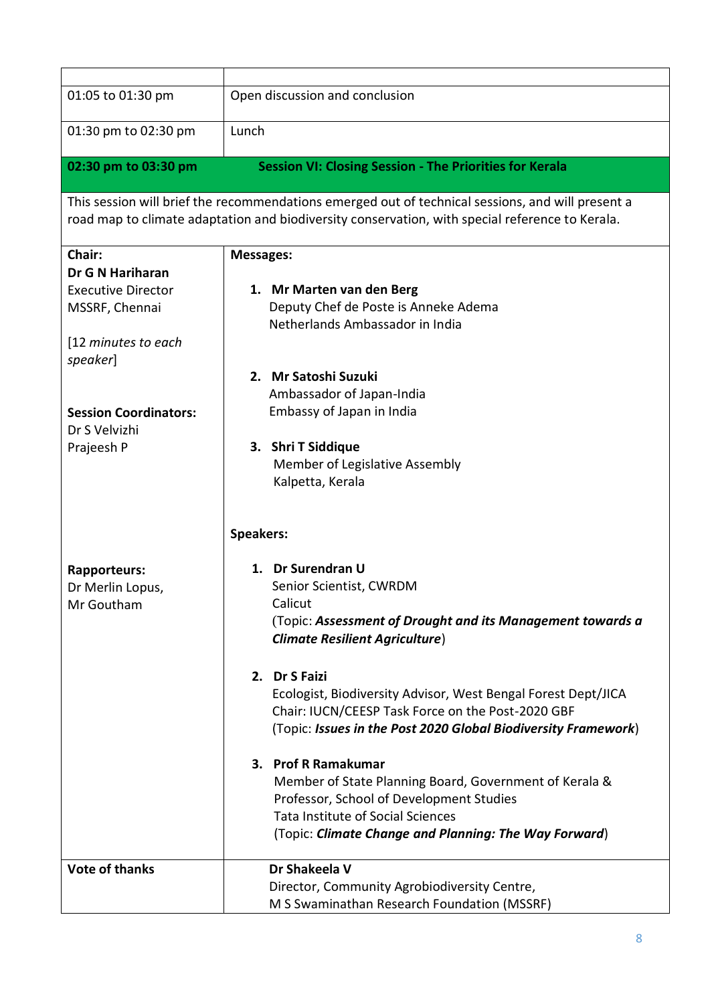| 01:05 to 01:30 pm            | Open discussion and conclusion                                                                    |
|------------------------------|---------------------------------------------------------------------------------------------------|
|                              |                                                                                                   |
| 01:30 pm to 02:30 pm         | Lunch                                                                                             |
|                              |                                                                                                   |
| 02:30 pm to 03:30 pm         | <b>Session VI: Closing Session - The Priorities for Kerala</b>                                    |
|                              | This session will brief the recommendations emerged out of technical sessions, and will present a |
|                              | road map to climate adaptation and biodiversity conservation, with special reference to Kerala.   |
|                              |                                                                                                   |
| Chair:                       | <b>Messages:</b>                                                                                  |
| Dr G N Hariharan             |                                                                                                   |
| <b>Executive Director</b>    | 1. Mr Marten van den Berg                                                                         |
| MSSRF, Chennai               | Deputy Chef de Poste is Anneke Adema                                                              |
|                              | Netherlands Ambassador in India                                                                   |
| [12 minutes to each          |                                                                                                   |
| <i>speaker</i> ]             |                                                                                                   |
|                              | 2. Mr Satoshi Suzuki                                                                              |
|                              | Ambassador of Japan-India                                                                         |
| <b>Session Coordinators:</b> | Embassy of Japan in India                                                                         |
| Dr S Velvizhi                |                                                                                                   |
| Prajeesh P                   | 3. Shri T Siddique                                                                                |
|                              | Member of Legislative Assembly                                                                    |
|                              | Kalpetta, Kerala                                                                                  |
|                              |                                                                                                   |
|                              | <b>Speakers:</b>                                                                                  |
|                              |                                                                                                   |
| Rapporteurs:                 | 1. Dr Surendran U                                                                                 |
| Dr Merlin Lopus,             | Senior Scientist, CWRDM                                                                           |
| Mr Goutham                   | Calicut                                                                                           |
|                              | (Topic: Assessment of Drought and its Management towards a                                        |
|                              | <b>Climate Resilient Agriculture)</b>                                                             |
|                              |                                                                                                   |
|                              | 2. Dr S Faizi                                                                                     |
|                              | Ecologist, Biodiversity Advisor, West Bengal Forest Dept/JICA                                     |
|                              | Chair: IUCN/CEESP Task Force on the Post-2020 GBF                                                 |
|                              | (Topic: Issues in the Post 2020 Global Biodiversity Framework)                                    |
|                              |                                                                                                   |
|                              | 3. Prof R Ramakumar                                                                               |
|                              | Member of State Planning Board, Government of Kerala &                                            |
|                              | Professor, School of Development Studies                                                          |
|                              | <b>Tata Institute of Social Sciences</b>                                                          |
|                              | (Topic: Climate Change and Planning: The Way Forward)                                             |
| <b>Vote of thanks</b>        | Dr Shakeela V                                                                                     |
|                              | Director, Community Agrobiodiversity Centre,                                                      |
|                              | M S Swaminathan Research Foundation (MSSRF)                                                       |